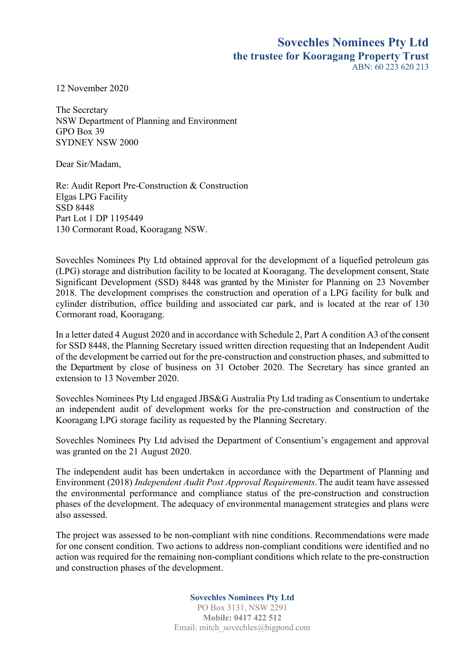## **Sovechles Nominees Pty Ltd the trustee for Kooragang Property Trust**  $ABN: 60, 223, 620, 213$

12 November 2020

The Secretary NSW Department of Planning and Environment GPO Box 39 SYDNEY NSW 2000

Dear Sir/Madam,

Re: Audit Report Pre-Construction & Construction Elgas LPG Facility SSD 8448 Part Lot 1 DP 1195449 130 Cormorant Road, Kooragang NSW.

Sovechles Nominees Pty Ltd obtained approval for the development of a liquefied petroleum gas (LPG) storage and distribution facility to be located at Kooragang. The development consent, State Significant Development (SSD) 8448 was granted by the Minister for Planning on 23 November 2018. The development comprises the construction and operation of a LPG facility for bulk and cylinder distribution, office building and associated car park, and is located at the rear of 130 Cormorant road, Kooragang.

In a letter dated 4 August 2020 and in accordance with Schedule 2, Part A condition A3 of the consent for SSD 8448, the Planning Secretary issued written direction requesting that an Independent Audit of the development be carried out for the pre-construction and construction phases, and submitted to the Department by close of business on 31 October 2020. The Secretary has since granted an extension to 13 November 2020.

Sovechles Nominees Pty Ltd engaged JBS&G Australia Pty Ltd trading as Consentium to undertake an independent audit of development works for the pre-construction and construction of the Kooragang LPG storage facility as requested by the Planning Secretary.

Sovechles Nominees Pty Ltd advised the Department of Consentium's engagement and approval was granted on the 21 August 2020.

The independent audit has been undertaken in accordance with the Department of Planning and Environment (2018) *Independent Audit Post Approval Requirements*.The audit team have assessed the environmental performance and compliance status of the pre-construction and construction phases of the development. The adequacy of environmental management strategies and plans were also assessed.

The project was assessed to be non-compliant with nine conditions. Recommendations were made for one consent condition. Two actions to address non-compliant conditions were identified and no action was required for the remaining non-compliant conditions which relate to the pre-construction and construction phases of the development.

**Sovechles Nominees Pty Ltd**

PO Box 3131, NSW 2291 **Mobile: 0417 422 512** Email: mitch\_sovechles@bigpond.com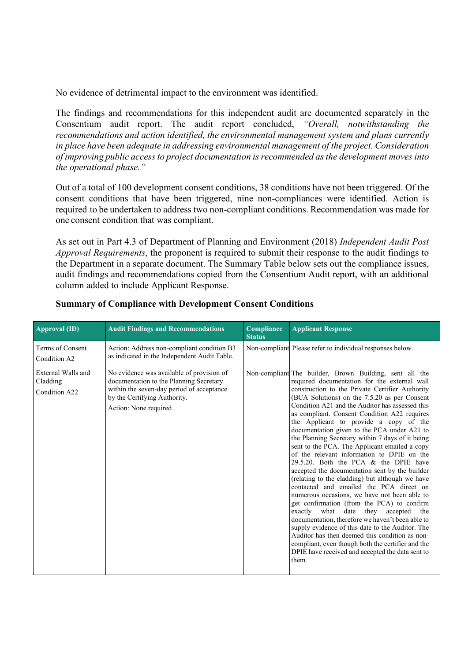No evidence of detrimental impact to the environment was identified.

The findings and recommendations for this independent audit are documented separately in the Consentium audit report. The audit report concluded, *"Overall, notwithstanding the recommendations and action identified, the environmental management system and plans currently in place have been adequate in addressing environmental management of the project. Consideration of improving public accessto project documentation isrecommended asthe development moves into the operational phase."*

Out of a total of 100 development consent conditions, 38 conditions have not been triggered. Of the consent conditions that have been triggered, nine non-compliances were identified. Action is required to be undertaken to address two non-compliant conditions. Recommendation was made for one consent condition that was compliant.

As set out in Part 4.3 of Department of Planning and Environment (2018) *Independent Audit Post Approval Requirements*, the proponent is required to submit their response to the audit findings to the Department in a separate document. The Summary Table below sets out the compliance issues, audit findings and recommendations copied from the Consentium Audit report, with an additional column added to include Applicant Response.

| <b>Approval (ID)</b>                            | <b>Audit Findings and Recommendations</b>                                                                                                                                                   | Compliance<br><b>Status</b> | <b>Applicant Response</b>                                                                                                                                                                                                                                                                                                                                                                                                                                                                                                                                                                                                                                                                                                                                                                                                                                                                                                                                                                                                                                                                                                                                                          |
|-------------------------------------------------|---------------------------------------------------------------------------------------------------------------------------------------------------------------------------------------------|-----------------------------|------------------------------------------------------------------------------------------------------------------------------------------------------------------------------------------------------------------------------------------------------------------------------------------------------------------------------------------------------------------------------------------------------------------------------------------------------------------------------------------------------------------------------------------------------------------------------------------------------------------------------------------------------------------------------------------------------------------------------------------------------------------------------------------------------------------------------------------------------------------------------------------------------------------------------------------------------------------------------------------------------------------------------------------------------------------------------------------------------------------------------------------------------------------------------------|
| Terms of Consent<br>Condition A2                | Action: Address non-compliant condition B3<br>as indicated in the Independent Audit Table.                                                                                                  |                             | Non-compliant Please refer to individual responses below.                                                                                                                                                                                                                                                                                                                                                                                                                                                                                                                                                                                                                                                                                                                                                                                                                                                                                                                                                                                                                                                                                                                          |
| External Walls and<br>Cladding<br>Condition A22 | No evidence was available of provision of<br>documentation to the Planning Secretary<br>within the seven-day period of acceptance<br>by the Certifying Authority.<br>Action: None required. |                             | Non-compliant The builder, Brown Building, sent all the<br>required documentation for the external wall<br>construction to the Private Certifier Authority<br>(BCA Solutions) on the 7.5.20 as per Consent<br>Condition A21 and the Auditor has assessed this<br>as compliant. Consent Condition A22 requires<br>the Applicant to provide a copy of the<br>documentation given to the PCA under A21 to<br>the Planning Secretary within 7 days of it being<br>sent to the PCA. The Applicant emailed a copy<br>of the relevant information to DPIE on the<br>29.5.20. Both the PCA & the DPIE have<br>accepted the documentation sent by the builder<br>(relating to the cladding) but although we have<br>contacted and emailed the PCA direct on<br>numerous occasions, we have not been able to<br>get confirmation (from the PCA) to confirm<br>they<br>exactly<br>what<br>date<br>accepted<br>the<br>documentation, therefore we haven't been able to<br>supply evidence of this date to the Auditor. The<br>Auditor has then deemed this condition as non-<br>compliant, even though both the certifier and the<br>DPIE have received and accepted the data sent to<br>them. |

## **Summary of Compliance with Development Consent Conditions**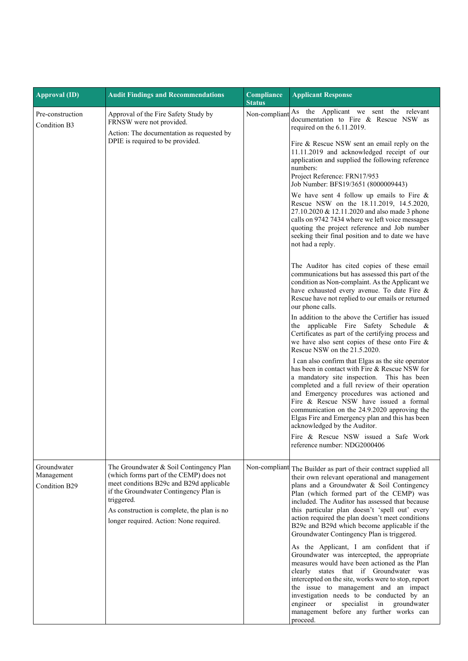| <b>Approval (ID)</b>                       | <b>Audit Findings and Recommendations</b>                                                                                                                                                                                                                                        | Compliance<br><b>Status</b> | <b>Applicant Response</b>                                                                                                                                                                                                                                                                                                                                                                                                                            |
|--------------------------------------------|----------------------------------------------------------------------------------------------------------------------------------------------------------------------------------------------------------------------------------------------------------------------------------|-----------------------------|------------------------------------------------------------------------------------------------------------------------------------------------------------------------------------------------------------------------------------------------------------------------------------------------------------------------------------------------------------------------------------------------------------------------------------------------------|
| Pre-construction<br>Condition B3           | Approval of the Fire Safety Study by<br>FRNSW were not provided.<br>Action: The documentation as requested by<br>DPIE is required to be provided.                                                                                                                                | Non-compliant               | As the Applicant we sent the relevant<br>documentation to Fire & Rescue NSW as<br>required on the 6.11.2019.<br>Fire & Rescue NSW sent an email reply on the<br>11.11.2019 and acknowledged receipt of our<br>application and supplied the following reference<br>numbers:<br>Project Reference: FRN17/953<br>Job Number: BFS19/3651 (8000009443)<br>We have sent 4 follow up emails to Fire $\&$                                                    |
|                                            |                                                                                                                                                                                                                                                                                  |                             | Rescue NSW on the 18.11.2019, 14.5.2020,<br>27.10.2020 & 12.11.2020 and also made 3 phone<br>calls on 9742 7434 where we left voice messages<br>quoting the project reference and Job number<br>seeking their final position and to date we have<br>not had a reply.                                                                                                                                                                                 |
|                                            |                                                                                                                                                                                                                                                                                  |                             | The Auditor has cited copies of these email<br>communications but has assessed this part of the<br>condition as Non-complaint. As the Applicant we<br>have exhausted every avenue. To date Fire &<br>Rescue have not replied to our emails or returned<br>our phone calls.                                                                                                                                                                           |
|                                            |                                                                                                                                                                                                                                                                                  |                             | In addition to the above the Certifier has issued<br>the applicable Fire Safety Schedule &<br>Certificates as part of the certifying process and<br>we have also sent copies of these onto Fire &<br>Rescue NSW on the 21.5.2020.                                                                                                                                                                                                                    |
|                                            |                                                                                                                                                                                                                                                                                  |                             | I can also confirm that Elgas as the site operator<br>has been in contact with Fire & Rescue NSW for<br>a mandatory site inspection. This has been<br>completed and a full review of their operation<br>and Emergency procedures was actioned and<br>Fire & Rescue NSW have issued a formal<br>communication on the 24.9.2020 approving the<br>Elgas Fire and Emergency plan and this has been<br>acknowledged by the Auditor.                       |
|                                            |                                                                                                                                                                                                                                                                                  |                             | Fire & Rescue NSW issued a Safe Work<br>reference number: NDG2000406                                                                                                                                                                                                                                                                                                                                                                                 |
| Groundwater<br>Management<br>Condition B29 | The Groundwater & Soil Contingency Plan<br>(which forms part of the CEMP) does not<br>meet conditions B29c and B29d applicable<br>if the Groundwater Contingency Plan is<br>triggered.<br>As construction is complete, the plan is no<br>longer required. Action: None required. | Non-compliant               | The Builder as part of their contract supplied all<br>their own relevant operational and management<br>plans and a Groundwater & Soil Contingency<br>Plan (which formed part of the CEMP) was<br>included. The Auditor has assessed that because<br>this particular plan doesn't 'spell out' every<br>action required the plan doesn't meet conditions<br>B29c and B29d which become applicable if the<br>Groundwater Contingency Plan is triggered. |
|                                            |                                                                                                                                                                                                                                                                                  |                             | As the Applicant, I am confident that if<br>Groundwater was intercepted, the appropriate<br>measures would have been actioned as the Plan<br>clearly states that if Groundwater was<br>intercepted on the site, works were to stop, report<br>the issue to management and an impact<br>investigation needs to be conducted by an<br>engineer or<br>specialist in groundwater<br>management before any further works can<br>proceed.                  |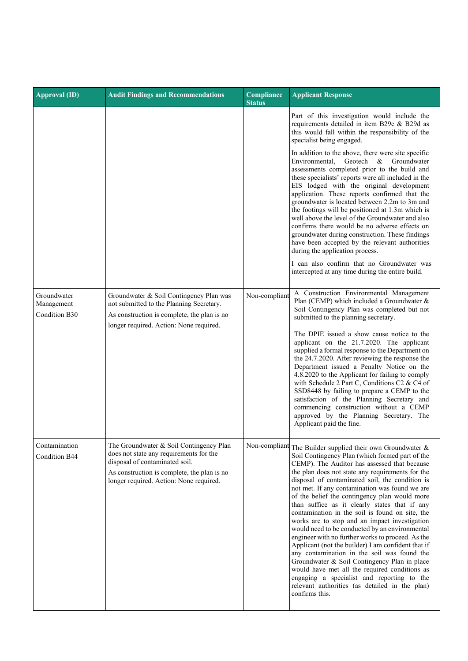| <b>Approval (ID)</b>                       | <b>Audit Findings and Recommendations</b>                                                                                                                                                                      | Compliance<br><b>Status</b> | <b>Applicant Response</b>                                                                                                                                                                                                                                                                                                                                                                                                                                                                                                                                                                                                                                                                                                                                                                                                                                                                                                                                   |
|--------------------------------------------|----------------------------------------------------------------------------------------------------------------------------------------------------------------------------------------------------------------|-----------------------------|-------------------------------------------------------------------------------------------------------------------------------------------------------------------------------------------------------------------------------------------------------------------------------------------------------------------------------------------------------------------------------------------------------------------------------------------------------------------------------------------------------------------------------------------------------------------------------------------------------------------------------------------------------------------------------------------------------------------------------------------------------------------------------------------------------------------------------------------------------------------------------------------------------------------------------------------------------------|
|                                            |                                                                                                                                                                                                                |                             | Part of this investigation would include the<br>requirements detailed in item B29c & B29d as<br>this would fall within the responsibility of the<br>specialist being engaged.                                                                                                                                                                                                                                                                                                                                                                                                                                                                                                                                                                                                                                                                                                                                                                               |
|                                            |                                                                                                                                                                                                                |                             | In addition to the above, there were site specific<br>Geotech<br>Environmental.<br>&<br>Groundwater<br>assessments completed prior to the build and<br>these specialists' reports were all included in the<br>EIS lodged with the original development<br>application. These reports confirmed that the<br>groundwater is located between 2.2m to 3m and<br>the footings will be positioned at 1.3m which is<br>well above the level of the Groundwater and also<br>confirms there would be no adverse effects on<br>groundwater during construction. These findings<br>have been accepted by the relevant authorities<br>during the application process.<br>I can also confirm that no Groundwater was                                                                                                                                                                                                                                                     |
|                                            |                                                                                                                                                                                                                |                             | intercepted at any time during the entire build.                                                                                                                                                                                                                                                                                                                                                                                                                                                                                                                                                                                                                                                                                                                                                                                                                                                                                                            |
| Groundwater<br>Management<br>Condition B30 | Groundwater & Soil Contingency Plan was<br>not submitted to the Planning Secretary.<br>As construction is complete, the plan is no<br>longer required. Action: None required.                                  | Non-compliant               | A Construction Environmental Management<br>Plan (CEMP) which included a Groundwater &<br>Soil Contingency Plan was completed but not<br>submitted to the planning secretary.                                                                                                                                                                                                                                                                                                                                                                                                                                                                                                                                                                                                                                                                                                                                                                                |
|                                            |                                                                                                                                                                                                                |                             | The DPIE issued a show cause notice to the<br>applicant on the 21.7.2020. The applicant<br>supplied a formal response to the Department on<br>the 24.7.2020. After reviewing the response the<br>Department issued a Penalty Notice on the<br>4.8.2020 to the Applicant for failing to comply<br>with Schedule 2 Part C, Conditions C2 & C4 of<br>SSD8448 by failing to prepare a CEMP to the<br>satisfaction of the Planning Secretary and<br>commencing construction without a CEMP<br>approved by the Planning Secretary. The<br>Applicant paid the fine.                                                                                                                                                                                                                                                                                                                                                                                                |
| Contamination<br><b>Condition B44</b>      | The Groundwater & Soil Contingency Plan<br>does not state any requirements for the<br>disposal of contaminated soil.<br>As construction is complete, the plan is no<br>longer required. Action: None required. |                             | Non-compliant The Builder supplied their own Groundwater &<br>Soil Contingency Plan (which formed part of the<br>CEMP). The Auditor has assessed that because<br>the plan does not state any requirements for the<br>disposal of contaminated soil, the condition is<br>not met. If any contamination was found we are<br>of the belief the contingency plan would more<br>than suffice as it clearly states that if any<br>contamination in the soil is found on site, the<br>works are to stop and an impact investigation<br>would need to be conducted by an environmental<br>engineer with no further works to proceed. As the<br>Applicant (not the builder) I am confident that if<br>any contamination in the soil was found the<br>Groundwater & Soil Contingency Plan in place<br>would have met all the required conditions as<br>engaging a specialist and reporting to the<br>relevant authorities (as detailed in the plan)<br>confirms this. |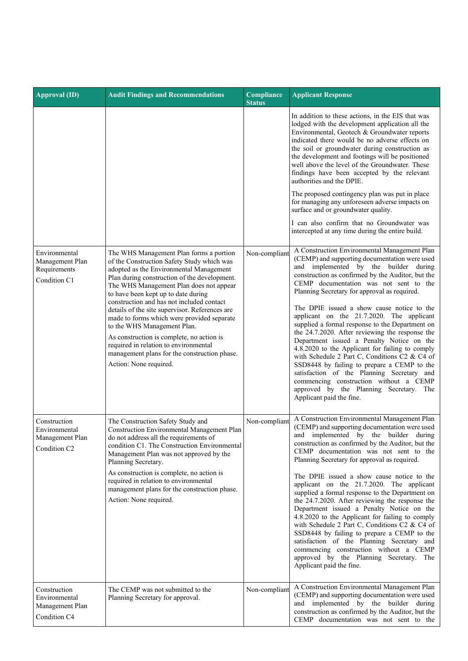| <b>Approval (ID)</b>                                                         | <b>Audit Findings and Recommendations</b>                                                                                                                                                                                                                                                                                                                                                                                                                                                                                                                                                                      | Compliance<br><b>Status</b> | <b>Applicant Response</b>                                                                                                                                                                                                                                                                                                                                                                                                                                                                                                                                                                                                                                                                                                                                                                                                                             |
|------------------------------------------------------------------------------|----------------------------------------------------------------------------------------------------------------------------------------------------------------------------------------------------------------------------------------------------------------------------------------------------------------------------------------------------------------------------------------------------------------------------------------------------------------------------------------------------------------------------------------------------------------------------------------------------------------|-----------------------------|-------------------------------------------------------------------------------------------------------------------------------------------------------------------------------------------------------------------------------------------------------------------------------------------------------------------------------------------------------------------------------------------------------------------------------------------------------------------------------------------------------------------------------------------------------------------------------------------------------------------------------------------------------------------------------------------------------------------------------------------------------------------------------------------------------------------------------------------------------|
|                                                                              |                                                                                                                                                                                                                                                                                                                                                                                                                                                                                                                                                                                                                |                             | In addition to these actions, in the EIS that was<br>lodged with the development application all the<br>Environmental, Geotech & Groundwater reports<br>indicated there would be no adverse effects on<br>the soil or groundwater during construction as<br>the development and footings will be positioned<br>well above the level of the Groundwater. These<br>findings have been accepted by the relevant<br>authorities and the DPIE.<br>The proposed contingency plan was put in place<br>for managing any unforeseen adverse impacts on<br>surface and or groundwater quality.<br>I can also confirm that no Groundwater was<br>intercepted at any time during the entire build.                                                                                                                                                                |
| Environmental<br>Management Plan<br>Requirements<br>Condition C1             | The WHS Management Plan forms a portion<br>of the Construction Safety Study which was<br>adopted as the Environmental Management<br>Plan during construction of the development.<br>The WHS Management Plan does not appear<br>to have been kept up to date during<br>construction and has not included contact<br>details of the site supervisor. References are<br>made to forms which were provided separate<br>to the WHS Management Plan.<br>As construction is complete, no action is<br>required in relation to environmental<br>management plans for the construction phase.<br>Action: None required. | Non-compliant               | A Construction Environmental Management Plan<br>(CEMP) and supporting documentation were used<br>and implemented by the builder during<br>construction as confirmed by the Auditor, but the<br>CEMP documentation was not sent to the<br>Planning Secretary for approval as required.<br>The DPIE issued a show cause notice to the<br>applicant on the 21.7.2020. The applicant<br>supplied a formal response to the Department on<br>the 24.7.2020. After reviewing the response the<br>Department issued a Penalty Notice on the<br>4.8.2020 to the Applicant for failing to comply<br>with Schedule 2 Part C, Conditions C2 & C4 of<br>SSD8448 by failing to prepare a CEMP to the<br>satisfaction of the Planning Secretary and<br>commencing construction without a CEMP<br>approved by the Planning Secretary. The<br>Applicant paid the fine. |
| Construction<br>Environmental<br>Management Plan<br>Condition C <sub>2</sub> | The Construction Safety Study and<br>Construction Environmental Management Plan<br>do not address all the requirements of<br>condition C1. The Construction Environmental<br>Management Plan was not approved by the<br>Planning Secretary.<br>As construction is complete, no action is<br>required in relation to environmental<br>management plans for the construction phase.<br>Action: None required.                                                                                                                                                                                                    | Non-compliant               | A Construction Environmental Management Plan<br>(CEMP) and supporting documentation were used<br>and implemented by the builder during<br>construction as confirmed by the Auditor, but the<br>CEMP documentation was not sent to the<br>Planning Secretary for approval as required.<br>The DPIE issued a show cause notice to the<br>applicant on the 21.7.2020. The applicant<br>supplied a formal response to the Department on<br>the 24.7.2020. After reviewing the response the<br>Department issued a Penalty Notice on the<br>4.8.2020 to the Applicant for failing to comply<br>with Schedule 2 Part C, Conditions C2 & C4 of<br>SSD8448 by failing to prepare a CEMP to the<br>satisfaction of the Planning Secretary and<br>commencing construction without a CEMP<br>approved by the Planning Secretary. The<br>Applicant paid the fine. |
| Construction<br>Environmental<br>Management Plan<br>Condition C4             | The CEMP was not submitted to the<br>Planning Secretary for approval.                                                                                                                                                                                                                                                                                                                                                                                                                                                                                                                                          | Non-compliant               | A Construction Environmental Management Plan<br>(CEMP) and supporting documentation were used<br>and implemented by the builder during<br>construction as confirmed by the Auditor, but the<br>CEMP documentation was not sent to the                                                                                                                                                                                                                                                                                                                                                                                                                                                                                                                                                                                                                 |